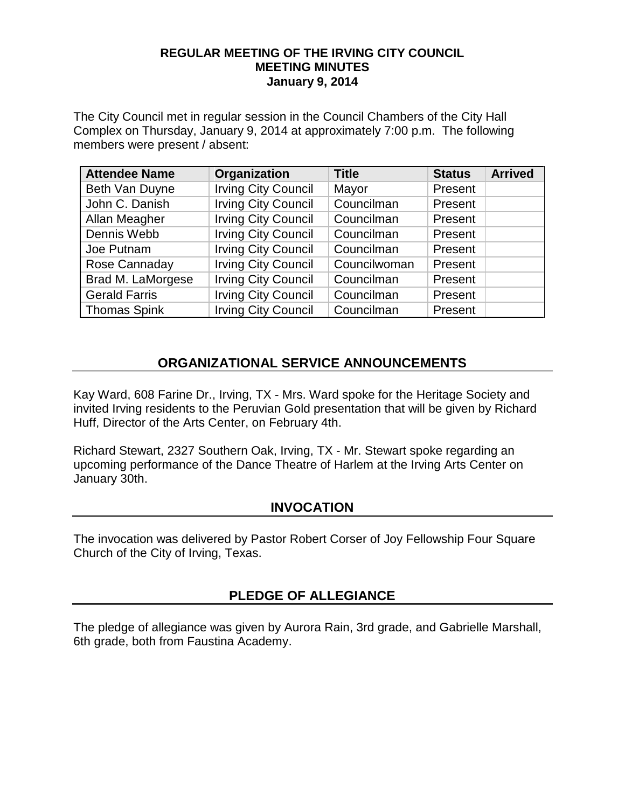#### **REGULAR MEETING OF THE IRVING CITY COUNCIL MEETING MINUTES January 9, 2014**

The City Council met in regular session in the Council Chambers of the City Hall Complex on Thursday, January 9, 2014 at approximately 7:00 p.m. The following members were present / absent:

| <b>Attendee Name</b> | Organization               | <b>Title</b> | <b>Status</b> | <b>Arrived</b> |
|----------------------|----------------------------|--------------|---------------|----------------|
| Beth Van Duyne       | <b>Irving City Council</b> | Mayor        | Present       |                |
| John C. Danish       | <b>Irving City Council</b> | Councilman   | Present       |                |
| Allan Meagher        | <b>Irving City Council</b> | Councilman   | Present       |                |
| Dennis Webb          | <b>Irving City Council</b> | Councilman   | Present       |                |
| Joe Putnam           | <b>Irving City Council</b> | Councilman   | Present       |                |
| Rose Cannaday        | <b>Irving City Council</b> | Councilwoman | Present       |                |
| Brad M. LaMorgese    | <b>Irving City Council</b> | Councilman   | Present       |                |
| <b>Gerald Farris</b> | <b>Irving City Council</b> | Councilman   | Present       |                |
| <b>Thomas Spink</b>  | <b>Irving City Council</b> | Councilman   | Present       |                |

## **ORGANIZATIONAL SERVICE ANNOUNCEMENTS**

Kay Ward, 608 Farine Dr., Irving, TX - Mrs. Ward spoke for the Heritage Society and invited Irving residents to the Peruvian Gold presentation that will be given by Richard Huff, Director of the Arts Center, on February 4th.

Richard Stewart, 2327 Southern Oak, Irving, TX - Mr. Stewart spoke regarding an upcoming performance of the Dance Theatre of Harlem at the Irving Arts Center on January 30th.

## **INVOCATION**

The invocation was delivered by Pastor Robert Corser of Joy Fellowship Four Square Church of the City of Irving, Texas.

## **PLEDGE OF ALLEGIANCE**

The pledge of allegiance was given by Aurora Rain, 3rd grade, and Gabrielle Marshall, 6th grade, both from Faustina Academy.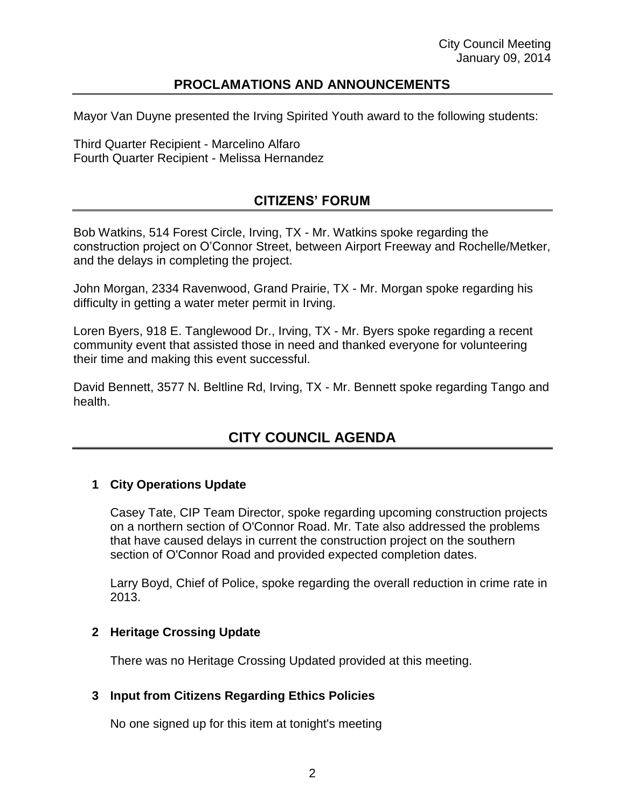### **PROCLAMATIONS AND ANNOUNCEMENTS**

Mayor Van Duyne presented the Irving Spirited Youth award to the following students:

Third Quarter Recipient - Marcelino Alfaro Fourth Quarter Recipient - Melissa Hernandez

## **CITIZENS' FORUM**

Bob Watkins, 514 Forest Circle, Irving, TX - Mr. Watkins spoke regarding the construction project on O'Connor Street, between Airport Freeway and Rochelle/Metker, and the delays in completing the project.

John Morgan, 2334 Ravenwood, Grand Prairie, TX - Mr. Morgan spoke regarding his difficulty in getting a water meter permit in Irving.

Loren Byers, 918 E. Tanglewood Dr., Irving, TX - Mr. Byers spoke regarding a recent community event that assisted those in need and thanked everyone for volunteering their time and making this event successful.

David Bennett, 3577 N. Beltline Rd, Irving, TX - Mr. Bennett spoke regarding Tango and health.

# **CITY COUNCIL AGENDA**

#### **1 City Operations Update**

Casey Tate, CIP Team Director, spoke regarding upcoming construction projects on a northern section of O'Connor Road. Mr. Tate also addressed the problems that have caused delays in current the construction project on the southern section of O'Connor Road and provided expected completion dates.

Larry Boyd, Chief of Police, spoke regarding the overall reduction in crime rate in 2013.

#### **2 Heritage Crossing Update**

There was no Heritage Crossing Updated provided at this meeting.

#### **3 Input from Citizens Regarding Ethics Policies**

No one signed up for this item at tonight's meeting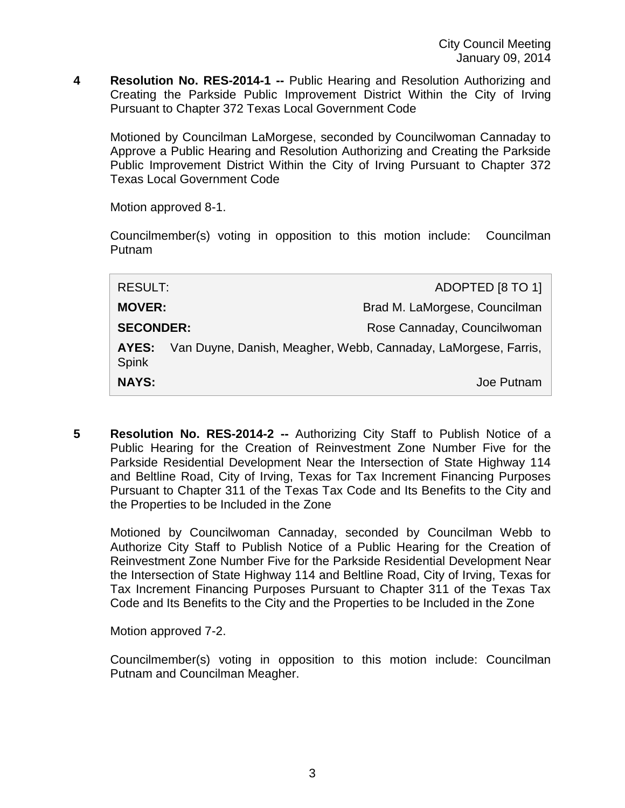**4 Resolution No. RES-2014-1 --** Public Hearing and Resolution Authorizing and Creating the Parkside Public Improvement District Within the City of Irving Pursuant to Chapter 372 Texas Local Government Code

Motioned by Councilman LaMorgese, seconded by Councilwoman Cannaday to Approve a Public Hearing and Resolution Authorizing and Creating the Parkside Public Improvement District Within the City of Irving Pursuant to Chapter 372 Texas Local Government Code

Motion approved 8-1.

Councilmember(s) voting in opposition to this motion include: Councilman Putnam

| <b>NAYS:</b>          | Joe Putnam                                                     |
|-----------------------|----------------------------------------------------------------|
| AYES:<br><b>Spink</b> | Van Duyne, Danish, Meagher, Webb, Cannaday, LaMorgese, Farris, |
| <b>SECONDER:</b>      | Rose Cannaday, Councilwoman                                    |
| <b>MOVER:</b>         | Brad M. LaMorgese, Councilman                                  |
| <b>RESULT:</b>        | ADOPTED [8 TO 1]                                               |
|                       |                                                                |

**5 Resolution No. RES-2014-2 --** Authorizing City Staff to Publish Notice of a Public Hearing for the Creation of Reinvestment Zone Number Five for the Parkside Residential Development Near the Intersection of State Highway 114 and Beltline Road, City of Irving, Texas for Tax Increment Financing Purposes Pursuant to Chapter 311 of the Texas Tax Code and Its Benefits to the City and the Properties to be Included in the Zone

Motioned by Councilwoman Cannaday, seconded by Councilman Webb to Authorize City Staff to Publish Notice of a Public Hearing for the Creation of Reinvestment Zone Number Five for the Parkside Residential Development Near the Intersection of State Highway 114 and Beltline Road, City of Irving, Texas for Tax Increment Financing Purposes Pursuant to Chapter 311 of the Texas Tax Code and Its Benefits to the City and the Properties to be Included in the Zone

Motion approved 7-2.

Councilmember(s) voting in opposition to this motion include: Councilman Putnam and Councilman Meagher.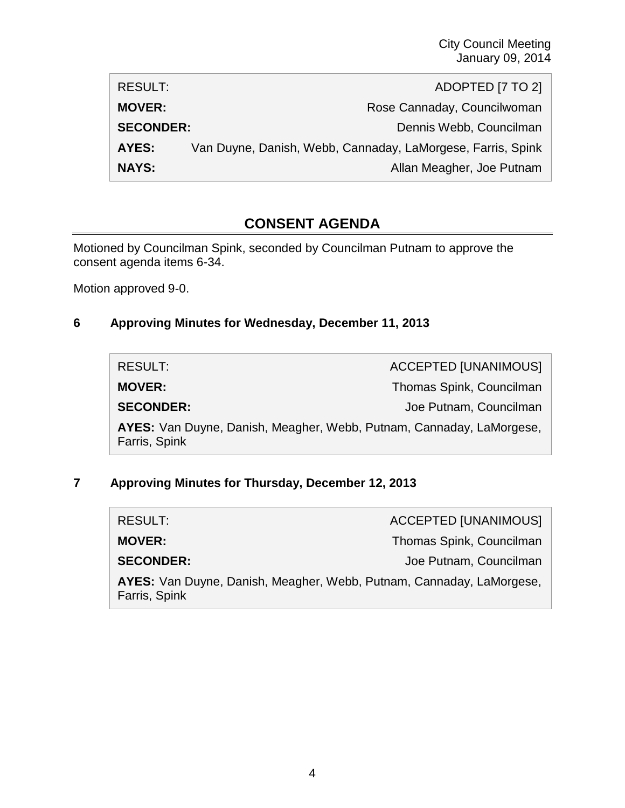| RESULT:          | ADOPTED [7 TO 2]                                            |
|------------------|-------------------------------------------------------------|
| <b>MOVER:</b>    | Rose Cannaday, Councilwoman                                 |
| <b>SECONDER:</b> | Dennis Webb, Councilman                                     |
| AYES:            | Van Duyne, Danish, Webb, Cannaday, LaMorgese, Farris, Spink |
| <b>NAYS:</b>     | Allan Meagher, Joe Putnam                                   |

# **CONSENT AGENDA**

Motioned by Councilman Spink, seconded by Councilman Putnam to approve the consent agenda items 6-34.

Motion approved 9-0.

## **6 Approving Minutes for Wednesday, December 11, 2013**

| RESULT:          | <b>ACCEPTED [UNANIMOUS]</b>                                          |
|------------------|----------------------------------------------------------------------|
| <b>MOVER:</b>    | Thomas Spink, Councilman                                             |
| <b>SECONDER:</b> | Joe Putnam, Councilman                                               |
| Farris, Spink    | AYES: Van Duyne, Danish, Meagher, Webb, Putnam, Cannaday, LaMorgese, |

## **7 Approving Minutes for Thursday, December 12, 2013**

| RESULT:          | <b>ACCEPTED [UNANIMOUS]</b>                                          |
|------------------|----------------------------------------------------------------------|
| <b>MOVER:</b>    | Thomas Spink, Councilman                                             |
| <b>SECONDER:</b> | Joe Putnam, Councilman                                               |
| Farris, Spink    | AYES: Van Duyne, Danish, Meagher, Webb, Putnam, Cannaday, LaMorgese, |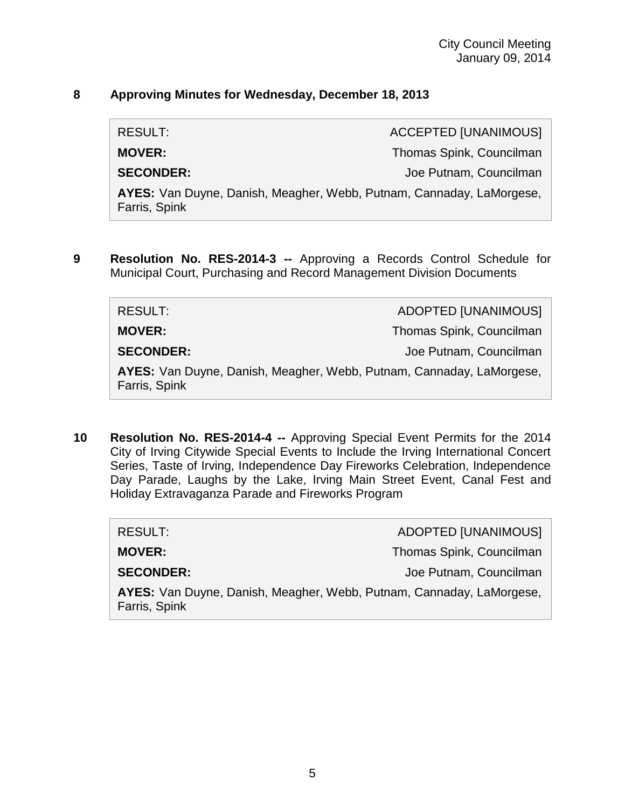#### **8 Approving Minutes for Wednesday, December 18, 2013**

RESULT: ACCEPTED [UNANIMOUS]

**MOVER:** Thomas Spink, Councilman

**SECONDER:** Joe Putnam, Councilman

**AYES:** Van Duyne, Danish, Meagher, Webb, Putnam, Cannaday, LaMorgese, Farris, Spink

**9 Resolution No. RES-2014-3 --** Approving a Records Control Schedule for Municipal Court, Purchasing and Record Management Division Documents

| RESULT:                                                                               | ADOPTED [UNANIMOUS]      |
|---------------------------------------------------------------------------------------|--------------------------|
| <b>MOVER:</b>                                                                         | Thomas Spink, Councilman |
| <b>SECONDER:</b>                                                                      | Joe Putnam, Councilman   |
| AYES: Van Duyne, Danish, Meagher, Webb, Putnam, Cannaday, LaMorgese,<br>Farris, Spink |                          |

**10 Resolution No. RES-2014-4 --** Approving Special Event Permits for the 2014 City of Irving Citywide Special Events to Include the Irving International Concert Series, Taste of Irving, Independence Day Fireworks Celebration, Independence Day Parade, Laughs by the Lake, Irving Main Street Event, Canal Fest and Holiday Extravaganza Parade and Fireworks Program

| RESULT:                                                                               | ADOPTED [UNANIMOUS]      |  |
|---------------------------------------------------------------------------------------|--------------------------|--|
| <b>MOVER:</b>                                                                         | Thomas Spink, Councilman |  |
| <b>SECONDER:</b>                                                                      | Joe Putnam, Councilman   |  |
| AYES: Van Duyne, Danish, Meagher, Webb, Putnam, Cannaday, LaMorgese,<br>Farris, Spink |                          |  |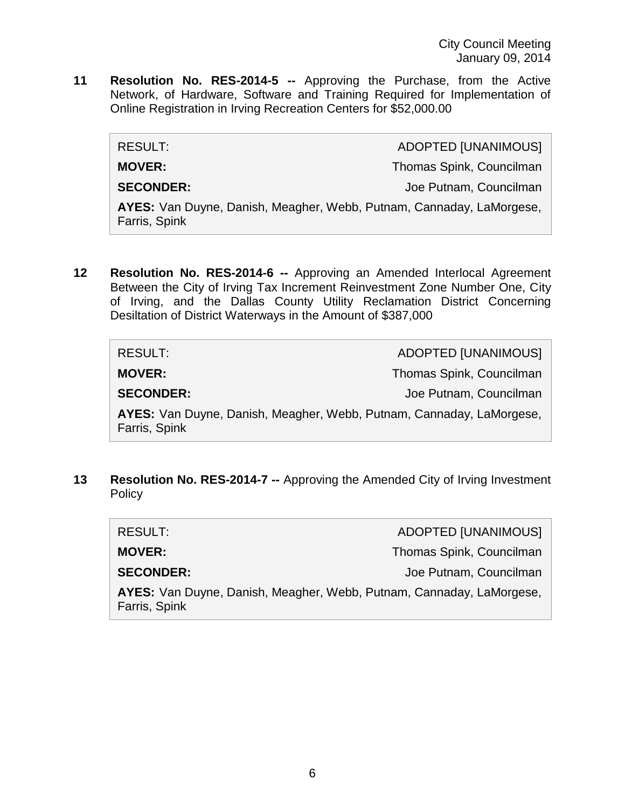**11 Resolution No. RES-2014-5 --** Approving the Purchase, from the Active Network, of Hardware, Software and Training Required for Implementation of Online Registration in Irving Recreation Centers for \$52,000.00

| RESULT:          | <b>ADOPTED [UNANIMOUS]</b>                                           |
|------------------|----------------------------------------------------------------------|
| <b>MOVER:</b>    | Thomas Spink, Councilman                                             |
| <b>SECONDER:</b> | Joe Putnam, Councilman                                               |
| Farris, Spink    | AYES: Van Duyne, Danish, Meagher, Webb, Putnam, Cannaday, LaMorgese, |

**12 Resolution No. RES-2014-6 --** Approving an Amended Interlocal Agreement Between the City of Irving Tax Increment Reinvestment Zone Number One, City of Irving, and the Dallas County Utility Reclamation District Concerning Desiltation of District Waterways in the Amount of \$387,000

| RESULT:          | <b>ADOPTED [UNANIMOUS]</b>                                           |
|------------------|----------------------------------------------------------------------|
| <b>MOVER:</b>    | Thomas Spink, Councilman                                             |
| <b>SECONDER:</b> | Joe Putnam, Councilman                                               |
| Farris, Spink    | AYES: Van Duyne, Danish, Meagher, Webb, Putnam, Cannaday, LaMorgese, |

**13 Resolution No. RES-2014-7 --** Approving the Amended City of Irving Investment **Policy** 

| <b>RESULT:</b>                                                                        | <b>ADOPTED [UNANIMOUS]</b> |
|---------------------------------------------------------------------------------------|----------------------------|
| <b>MOVER:</b>                                                                         | Thomas Spink, Councilman   |
| <b>SECONDER:</b>                                                                      | Joe Putnam, Councilman     |
| AYES: Van Duyne, Danish, Meagher, Webb, Putnam, Cannaday, LaMorgese,<br>Farris, Spink |                            |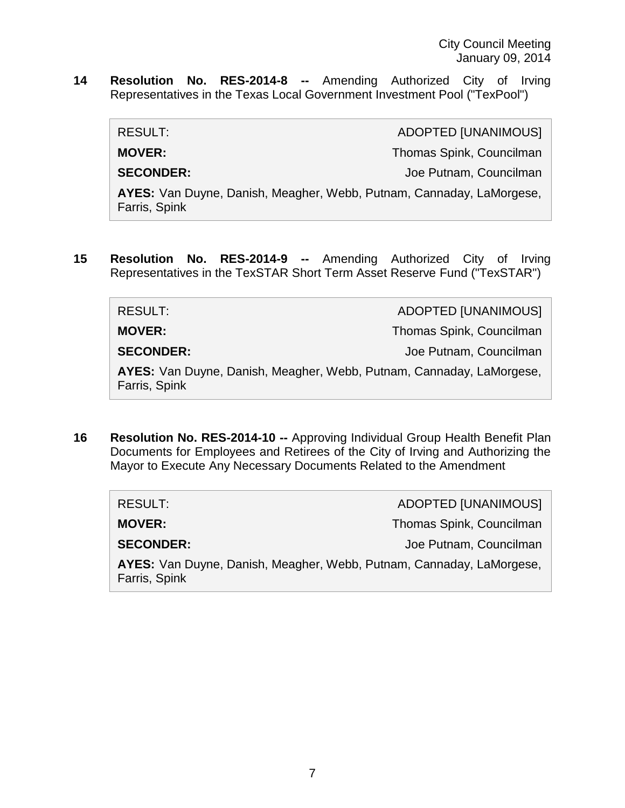**14 Resolution No. RES-2014-8 --** Amending Authorized City of Irving Representatives in the Texas Local Government Investment Pool ("TexPool")

RESULT: ADOPTED [UNANIMOUS]

**MOVER:** Thomas Spink, Councilman

**SECONDER:** Joe Putnam, Councilman

**AYES:** Van Duyne, Danish, Meagher, Webb, Putnam, Cannaday, LaMorgese, Farris, Spink

**15 Resolution No. RES-2014-9 --** Amending Authorized City of Irving Representatives in the TexSTAR Short Term Asset Reserve Fund ("TexSTAR")

| RESULT:                                                                               | <b>ADOPTED [UNANIMOUS]</b> |
|---------------------------------------------------------------------------------------|----------------------------|
| <b>MOVER:</b>                                                                         | Thomas Spink, Councilman   |
| <b>SECONDER:</b>                                                                      | Joe Putnam, Councilman     |
| AYES: Van Duyne, Danish, Meagher, Webb, Putnam, Cannaday, LaMorgese,<br>Farris, Spink |                            |

**16 Resolution No. RES-2014-10 --** Approving Individual Group Health Benefit Plan Documents for Employees and Retirees of the City of Irving and Authorizing the Mayor to Execute Any Necessary Documents Related to the Amendment

| RESULT:                                                                               | <b>ADOPTED [UNANIMOUS]</b> |  |
|---------------------------------------------------------------------------------------|----------------------------|--|
| <b>MOVER:</b>                                                                         | Thomas Spink, Councilman   |  |
| <b>SECONDER:</b>                                                                      | Joe Putnam, Councilman     |  |
| AYES: Van Duyne, Danish, Meagher, Webb, Putnam, Cannaday, LaMorgese,<br>Farris, Spink |                            |  |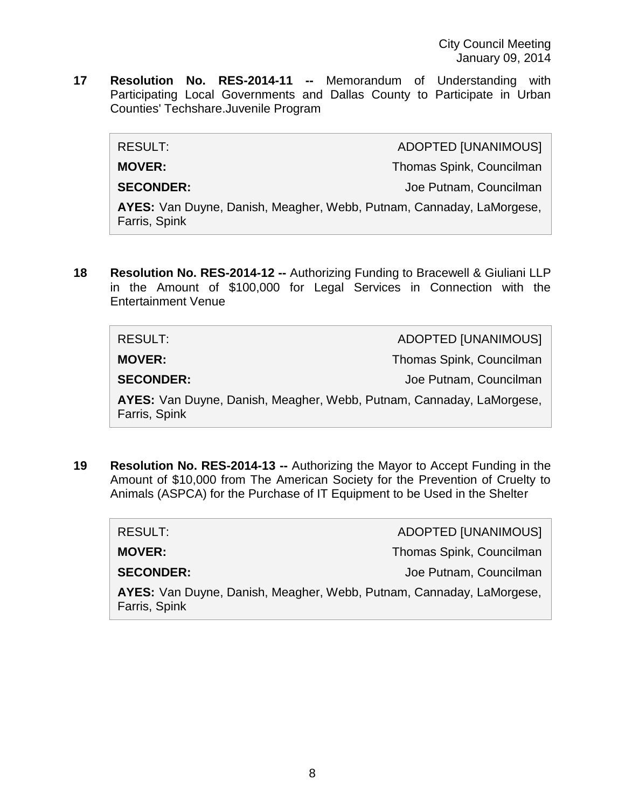**17 Resolution No. RES-2014-11 --** Memorandum of Understanding with Participating Local Governments and Dallas County to Participate in Urban Counties' Techshare.Juvenile Program

| RESULT:                                                                               | <b>ADOPTED [UNANIMOUS]</b> |
|---------------------------------------------------------------------------------------|----------------------------|
| <b>MOVER:</b>                                                                         | Thomas Spink, Councilman   |
| <b>SECONDER:</b>                                                                      | Joe Putnam, Councilman     |
| AYES: Van Duyne, Danish, Meagher, Webb, Putnam, Cannaday, LaMorgese,<br>Farris, Spink |                            |

**18 Resolution No. RES-2014-12 --** Authorizing Funding to Bracewell & Giuliani LLP in the Amount of \$100,000 for Legal Services in Connection with the Entertainment Venue

| <b>RESULT:</b>                                                                        | <b>ADOPTED [UNANIMOUS]</b> |
|---------------------------------------------------------------------------------------|----------------------------|
| <b>MOVER:</b>                                                                         | Thomas Spink, Councilman   |
| <b>SECONDER:</b>                                                                      | Joe Putnam, Councilman     |
| AYES: Van Duyne, Danish, Meagher, Webb, Putnam, Cannaday, LaMorgese,<br>Farris, Spink |                            |

**19 Resolution No. RES-2014-13 --** Authorizing the Mayor to Accept Funding in the Amount of \$10,000 from The American Society for the Prevention of Cruelty to Animals (ASPCA) for the Purchase of IT Equipment to be Used in the Shelter

| RESULT:                                                                               | <b>ADOPTED [UNANIMOUS]</b> |
|---------------------------------------------------------------------------------------|----------------------------|
| <b>MOVER:</b>                                                                         | Thomas Spink, Councilman   |
| <b>SECONDER:</b>                                                                      | Joe Putnam, Councilman     |
| AYES: Van Duyne, Danish, Meagher, Webb, Putnam, Cannaday, LaMorgese,<br>Farris, Spink |                            |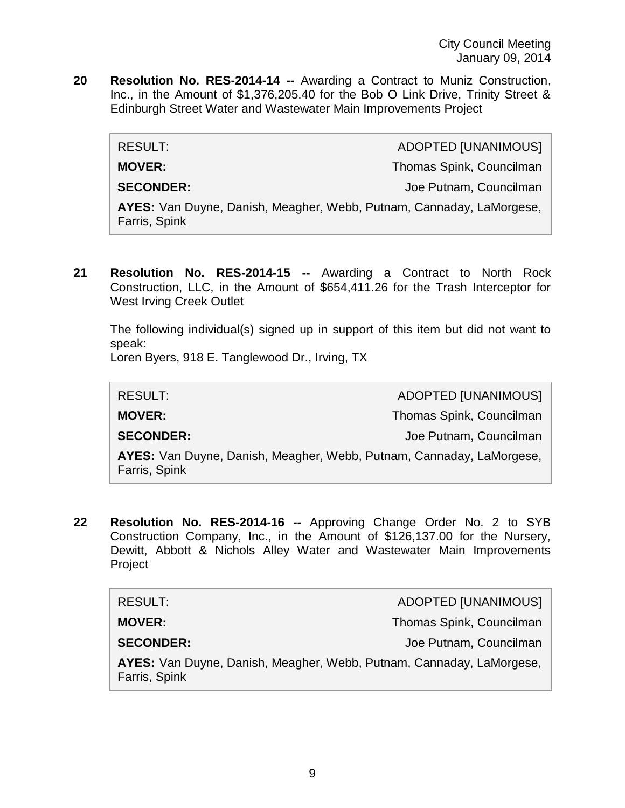**20 Resolution No. RES-2014-14 --** Awarding a Contract to Muniz Construction, Inc., in the Amount of \$1,376,205.40 for the Bob O Link Drive, Trinity Street & Edinburgh Street Water and Wastewater Main Improvements Project

| RESULT:                                                                               | ADOPTED [UNANIMOUS]      |
|---------------------------------------------------------------------------------------|--------------------------|
| <b>MOVER:</b>                                                                         | Thomas Spink, Councilman |
| <b>SECONDER:</b>                                                                      | Joe Putnam, Councilman   |
| AYES: Van Duyne, Danish, Meagher, Webb, Putnam, Cannaday, LaMorgese,<br>Farris, Spink |                          |

**21 Resolution No. RES-2014-15 --** Awarding a Contract to North Rock Construction, LLC, in the Amount of \$654,411.26 for the Trash Interceptor for West Irving Creek Outlet

The following individual(s) signed up in support of this item but did not want to speak:

Loren Byers, 918 E. Tanglewood Dr., Irving, TX

| <b>RESULT:</b>                                                                        | ADOPTED [UNANIMOUS]      |
|---------------------------------------------------------------------------------------|--------------------------|
| <b>MOVER:</b>                                                                         | Thomas Spink, Councilman |
| <b>SECONDER:</b>                                                                      | Joe Putnam, Councilman   |
| AYES: Van Duyne, Danish, Meagher, Webb, Putnam, Cannaday, LaMorgese,<br>Farris, Spink |                          |

**22 Resolution No. RES-2014-16 --** Approving Change Order No. 2 to SYB Construction Company, Inc., in the Amount of \$126,137.00 for the Nursery, Dewitt, Abbott & Nichols Alley Water and Wastewater Main Improvements Project

| RESULT:                                                                               | ADOPTED [UNANIMOUS]      |
|---------------------------------------------------------------------------------------|--------------------------|
| <b>MOVER:</b>                                                                         | Thomas Spink, Councilman |
| <b>SECONDER:</b>                                                                      | Joe Putnam, Councilman   |
| AYES: Van Duyne, Danish, Meagher, Webb, Putnam, Cannaday, LaMorgese,<br>Farris, Spink |                          |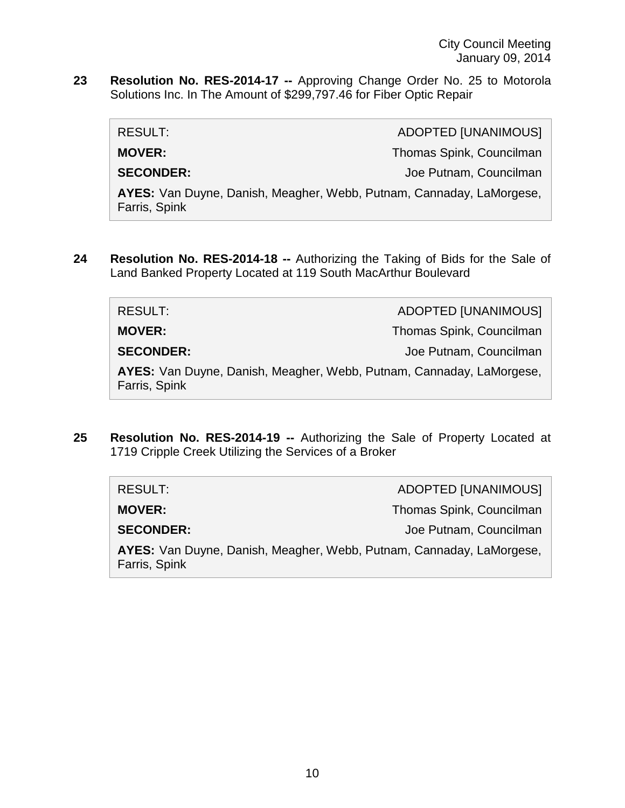City Council Meeting January 09, 2014

**23 Resolution No. RES-2014-17 --** Approving Change Order No. 25 to Motorola Solutions Inc. In The Amount of \$299,797.46 for Fiber Optic Repair

RESULT: ADOPTED [UNANIMOUS] **MOVER:** Thomas Spink, Councilman **SECONDER:** Joe Putnam, Councilman

**AYES:** Van Duyne, Danish, Meagher, Webb, Putnam, Cannaday, LaMorgese, Farris, Spink

**24 Resolution No. RES-2014-18 --** Authorizing the Taking of Bids for the Sale of Land Banked Property Located at 119 South MacArthur Boulevard

| RESULT:                                                                               | <b>ADOPTED [UNANIMOUS]</b> |
|---------------------------------------------------------------------------------------|----------------------------|
| <b>MOVER:</b>                                                                         | Thomas Spink, Councilman   |
| <b>SECONDER:</b>                                                                      | Joe Putnam, Councilman     |
| AYES: Van Duyne, Danish, Meagher, Webb, Putnam, Cannaday, LaMorgese,<br>Farris, Spink |                            |

**25 Resolution No. RES-2014-19 --** Authorizing the Sale of Property Located at 1719 Cripple Creek Utilizing the Services of a Broker

| RESULT:          | ADOPTED [UNANIMOUS]                                                  |
|------------------|----------------------------------------------------------------------|
| <b>MOVER:</b>    | Thomas Spink, Councilman                                             |
| <b>SECONDER:</b> | Joe Putnam, Councilman                                               |
| Farris, Spink    | AYES: Van Duyne, Danish, Meagher, Webb, Putnam, Cannaday, LaMorgese, |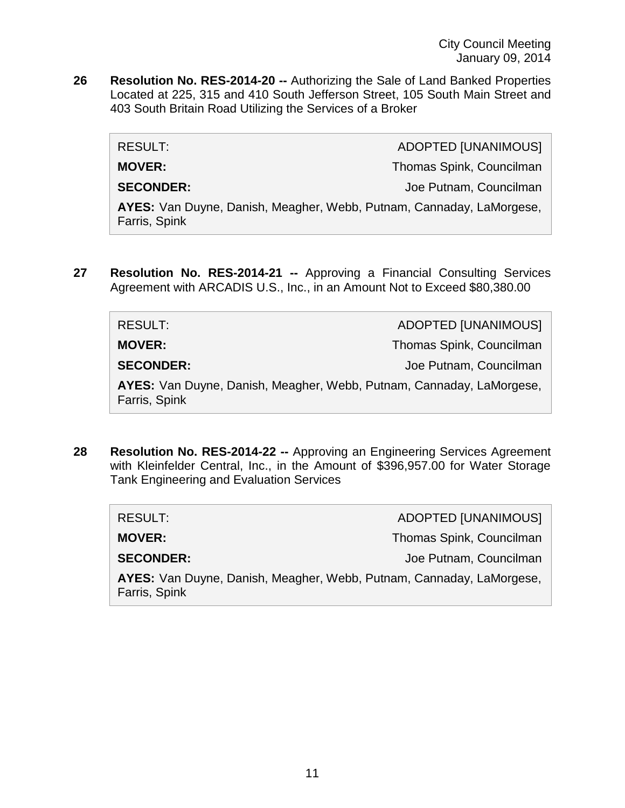**26 Resolution No. RES-2014-20 --** Authorizing the Sale of Land Banked Properties Located at 225, 315 and 410 South Jefferson Street, 105 South Main Street and 403 South Britain Road Utilizing the Services of a Broker

| RESULT:                                                                               | <b>ADOPTED [UNANIMOUS]</b> |
|---------------------------------------------------------------------------------------|----------------------------|
| <b>MOVER:</b>                                                                         | Thomas Spink, Councilman   |
| <b>SECONDER:</b>                                                                      | Joe Putnam, Councilman     |
| AYES: Van Duyne, Danish, Meagher, Webb, Putnam, Cannaday, LaMorgese,<br>Farris, Spink |                            |

**27 Resolution No. RES-2014-21 --** Approving a Financial Consulting Services Agreement with ARCADIS U.S., Inc., in an Amount Not to Exceed \$80,380.00

| RESULT:                                                                               | <b>ADOPTED [UNANIMOUS]</b> |
|---------------------------------------------------------------------------------------|----------------------------|
| <b>MOVER:</b>                                                                         | Thomas Spink, Councilman   |
| <b>SECONDER:</b>                                                                      | Joe Putnam, Councilman     |
| AYES: Van Duyne, Danish, Meagher, Webb, Putnam, Cannaday, LaMorgese,<br>Farris, Spink |                            |

**28 Resolution No. RES-2014-22 --** Approving an Engineering Services Agreement with Kleinfelder Central, Inc., in the Amount of \$396,957.00 for Water Storage Tank Engineering and Evaluation Services

| RESULT:                                                                               | <b>ADOPTED [UNANIMOUS]</b> |
|---------------------------------------------------------------------------------------|----------------------------|
| <b>MOVER:</b>                                                                         | Thomas Spink, Councilman   |
| <b>SECONDER:</b>                                                                      | Joe Putnam, Councilman     |
| AYES: Van Duyne, Danish, Meagher, Webb, Putnam, Cannaday, LaMorgese,<br>Farris, Spink |                            |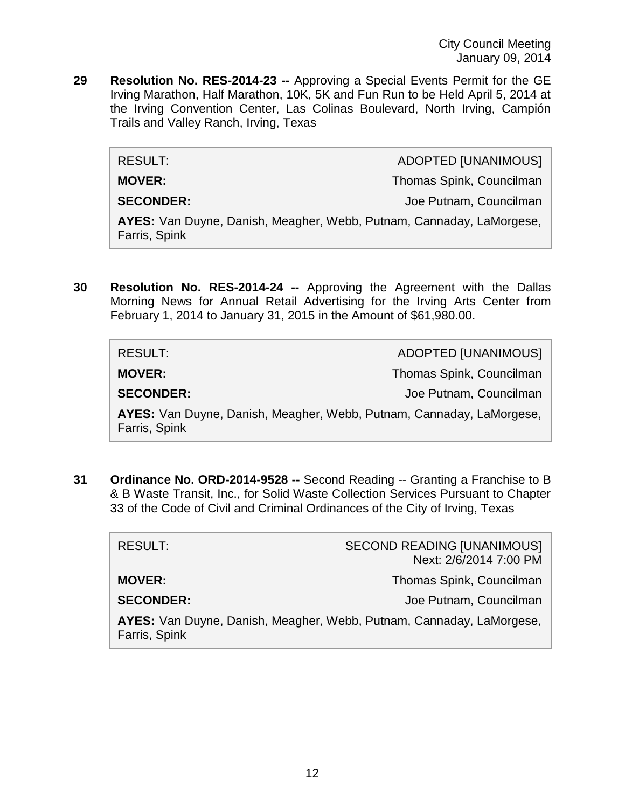**29 Resolution No. RES-2014-23 --** Approving a Special Events Permit for the GE Irving Marathon, Half Marathon, 10K, 5K and Fun Run to be Held April 5, 2014 at the Irving Convention Center, Las Colinas Boulevard, North Irving, Campión Trails and Valley Ranch, Irving, Texas

RESULT: ADOPTED [UNANIMOUS]

**MOVER:** Thomas Spink, Councilman

**SECONDER:** Joe Putnam, Councilman

**AYES:** Van Duyne, Danish, Meagher, Webb, Putnam, Cannaday, LaMorgese, Farris, Spink

**30 Resolution No. RES-2014-24 --** Approving the Agreement with the Dallas Morning News for Annual Retail Advertising for the Irving Arts Center from February 1, 2014 to January 31, 2015 in the Amount of \$61,980.00.

| <b>RESULT:</b>                                                                        | <b>ADOPTED [UNANIMOUS]</b> |
|---------------------------------------------------------------------------------------|----------------------------|
| <b>MOVER:</b>                                                                         | Thomas Spink, Councilman   |
| <b>SECONDER:</b>                                                                      | Joe Putnam, Councilman     |
| AYES: Van Duyne, Danish, Meagher, Webb, Putnam, Cannaday, LaMorgese,<br>Farris, Spink |                            |

**31 Ordinance No. ORD-2014-9528 --** Second Reading -- Granting a Franchise to B & B Waste Transit, Inc., for Solid Waste Collection Services Pursuant to Chapter 33 of the Code of Civil and Criminal Ordinances of the City of Irving, Texas

| <b>RESULT:</b>                                                                        | <b>SECOND READING [UNANIMOUS]</b><br>Next: 2/6/2014 7:00 PM |
|---------------------------------------------------------------------------------------|-------------------------------------------------------------|
| <b>MOVER:</b>                                                                         | Thomas Spink, Councilman                                    |
| <b>SECONDER:</b>                                                                      | Joe Putnam, Councilman                                      |
| AYES: Van Duyne, Danish, Meagher, Webb, Putnam, Cannaday, LaMorgese,<br>Farris, Spink |                                                             |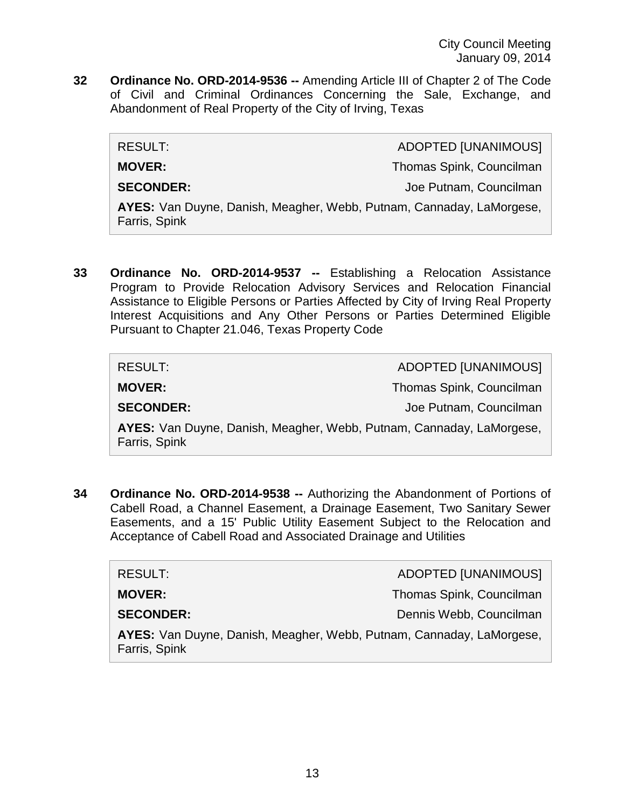**32 Ordinance No. ORD-2014-9536 --** Amending Article III of Chapter 2 of The Code of Civil and Criminal Ordinances Concerning the Sale, Exchange, and Abandonment of Real Property of the City of Irving, Texas

| RESULT:                                                                               | <b>ADOPTED [UNANIMOUS]</b> |
|---------------------------------------------------------------------------------------|----------------------------|
| <b>MOVER:</b>                                                                         | Thomas Spink, Councilman   |
| <b>SECONDER:</b>                                                                      | Joe Putnam, Councilman     |
| AYES: Van Duyne, Danish, Meagher, Webb, Putnam, Cannaday, LaMorgese,<br>Farris, Spink |                            |

**33 Ordinance No. ORD-2014-9537 --** Establishing a Relocation Assistance Program to Provide Relocation Advisory Services and Relocation Financial Assistance to Eligible Persons or Parties Affected by City of Irving Real Property Interest Acquisitions and Any Other Persons or Parties Determined Eligible Pursuant to Chapter 21.046, Texas Property Code

| RESULT:                                                                               | ADOPTED [UNANIMOUS]      |
|---------------------------------------------------------------------------------------|--------------------------|
| <b>MOVER:</b>                                                                         | Thomas Spink, Councilman |
| <b>SECONDER:</b>                                                                      | Joe Putnam, Councilman   |
| AYES: Van Duyne, Danish, Meagher, Webb, Putnam, Cannaday, LaMorgese,<br>Farris, Spink |                          |

**34 Ordinance No. ORD-2014-9538 --** Authorizing the Abandonment of Portions of Cabell Road, a Channel Easement, a Drainage Easement, Two Sanitary Sewer Easements, and a 15' Public Utility Easement Subject to the Relocation and Acceptance of Cabell Road and Associated Drainage and Utilities

| RESULT:                                                                               | <b>ADOPTED [UNANIMOUS]</b> |
|---------------------------------------------------------------------------------------|----------------------------|
| <b>MOVER:</b>                                                                         | Thomas Spink, Councilman   |
| <b>SECONDER:</b>                                                                      | Dennis Webb, Councilman    |
| AYES: Van Duyne, Danish, Meagher, Webb, Putnam, Cannaday, LaMorgese,<br>Farris, Spink |                            |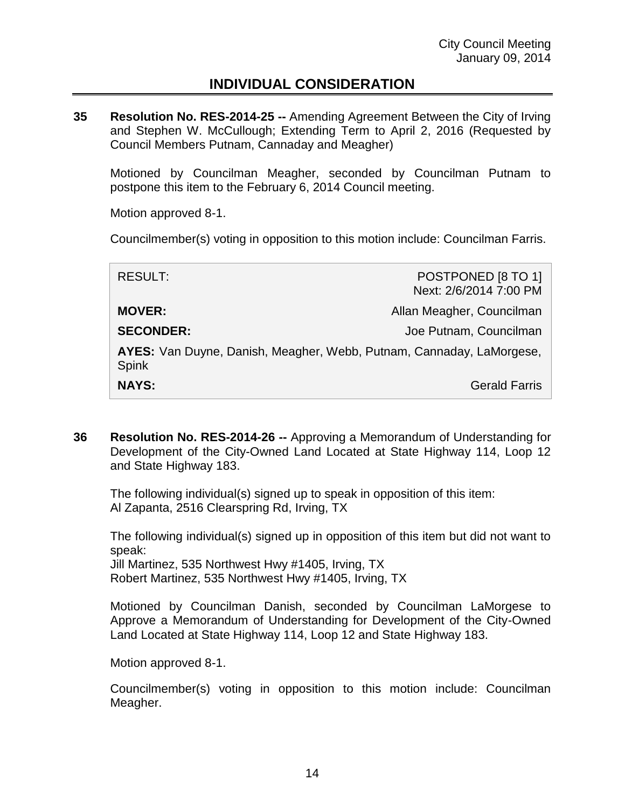## **INDIVIDUAL CONSIDERATION**

**35 Resolution No. RES-2014-25 --** Amending Agreement Between the City of Irving and Stephen W. McCullough; Extending Term to April 2, 2016 (Requested by Council Members Putnam, Cannaday and Meagher)

Motioned by Councilman Meagher, seconded by Councilman Putnam to postpone this item to the February 6, 2014 Council meeting.

Motion approved 8-1.

Councilmember(s) voting in opposition to this motion include: Councilman Farris.

| <b>RESULT:</b>                                                                       | POSTPONED [8 TO 1]<br>Next: 2/6/2014 7:00 PM |
|--------------------------------------------------------------------------------------|----------------------------------------------|
| <b>MOVER:</b>                                                                        | Allan Meagher, Councilman                    |
| <b>SECONDER:</b>                                                                     | Joe Putnam, Councilman                       |
| AYES: Van Duyne, Danish, Meagher, Webb, Putnam, Cannaday, LaMorgese,<br><b>Spink</b> |                                              |
| <b>NAYS:</b>                                                                         | <b>Gerald Farris</b>                         |

**36 Resolution No. RES-2014-26 --** Approving a Memorandum of Understanding for Development of the City-Owned Land Located at State Highway 114, Loop 12 and State Highway 183.

The following individual(s) signed up to speak in opposition of this item: Al Zapanta, 2516 Clearspring Rd, Irving, TX

The following individual(s) signed up in opposition of this item but did not want to speak: Jill Martinez, 535 Northwest Hwy #1405, Irving, TX Robert Martinez, 535 Northwest Hwy #1405, Irving, TX

Motioned by Councilman Danish, seconded by Councilman LaMorgese to Approve a Memorandum of Understanding for Development of the City-Owned Land Located at State Highway 114, Loop 12 and State Highway 183.

Motion approved 8-1.

Councilmember(s) voting in opposition to this motion include: Councilman Meagher.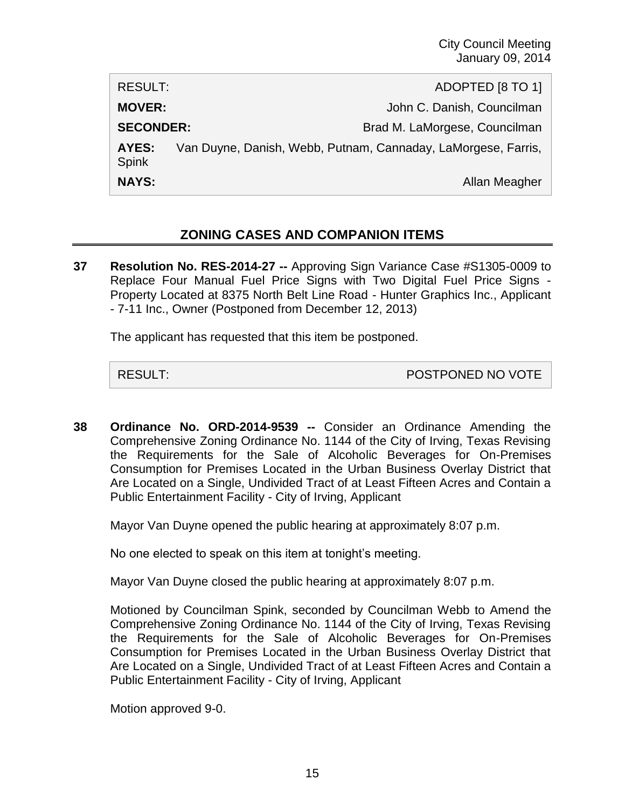RESULT: ADOPTED [8 TO 1] **MOVER:**  $John C.$  Danish, Councilman **SECONDER:** Brad M. LaMorgese, Councilman **AYES:** Van Duyne, Danish, Webb, Putnam, Cannaday, LaMorgese, Farris, Spink **NAYS:** Allan Meagher

### **ZONING CASES AND COMPANION ITEMS**

**37 Resolution No. RES-2014-27 --** Approving Sign Variance Case #S1305-0009 to Replace Four Manual Fuel Price Signs with Two Digital Fuel Price Signs - Property Located at 8375 North Belt Line Road - Hunter Graphics Inc., Applicant - 7-11 Inc., Owner (Postponed from December 12, 2013)

The applicant has requested that this item be postponed.

RESULT: POSTPONED NO VOTE

**38 Ordinance No. ORD-2014-9539 --** Consider an Ordinance Amending the Comprehensive Zoning Ordinance No. 1144 of the City of Irving, Texas Revising the Requirements for the Sale of Alcoholic Beverages for On-Premises Consumption for Premises Located in the Urban Business Overlay District that Are Located on a Single, Undivided Tract of at Least Fifteen Acres and Contain a Public Entertainment Facility - City of Irving, Applicant

Mayor Van Duyne opened the public hearing at approximately 8:07 p.m.

No one elected to speak on this item at tonight's meeting.

Mayor Van Duyne closed the public hearing at approximately 8:07 p.m.

Motioned by Councilman Spink, seconded by Councilman Webb to Amend the Comprehensive Zoning Ordinance No. 1144 of the City of Irving, Texas Revising the Requirements for the Sale of Alcoholic Beverages for On-Premises Consumption for Premises Located in the Urban Business Overlay District that Are Located on a Single, Undivided Tract of at Least Fifteen Acres and Contain a Public Entertainment Facility - City of Irving, Applicant

Motion approved 9-0.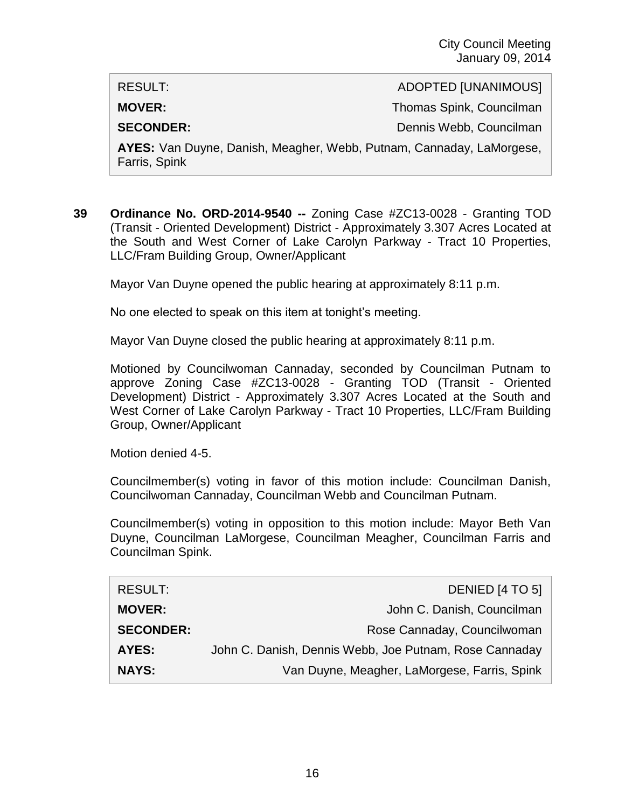RESULT: ADOPTED [UNANIMOUS] **MOVER:** Thomas Spink, Councilman **SECONDER:** Dennis Webb, Councilman **AYES:** Van Duyne, Danish, Meagher, Webb, Putnam, Cannaday, LaMorgese,

**39 Ordinance No. ORD-2014-9540 --** Zoning Case #ZC13-0028 - Granting TOD (Transit - Oriented Development) District - Approximately 3.307 Acres Located at the South and West Corner of Lake Carolyn Parkway - Tract 10 Properties, LLC/Fram Building Group, Owner/Applicant

Mayor Van Duyne opened the public hearing at approximately 8:11 p.m.

No one elected to speak on this item at tonight's meeting.

Mayor Van Duyne closed the public hearing at approximately 8:11 p.m.

Motioned by Councilwoman Cannaday, seconded by Councilman Putnam to approve Zoning Case #ZC13-0028 - Granting TOD (Transit - Oriented Development) District - Approximately 3.307 Acres Located at the South and West Corner of Lake Carolyn Parkway - Tract 10 Properties, LLC/Fram Building Group, Owner/Applicant

Motion denied 4-5.

Farris, Spink

Councilmember(s) voting in favor of this motion include: Councilman Danish, Councilwoman Cannaday, Councilman Webb and Councilman Putnam.

Councilmember(s) voting in opposition to this motion include: Mayor Beth Van Duyne, Councilman LaMorgese, Councilman Meagher, Councilman Farris and Councilman Spink.

| <b>RESULT:</b>   | DENIED [4 TO 5]                                        |
|------------------|--------------------------------------------------------|
| <b>MOVER:</b>    | John C. Danish, Councilman                             |
| <b>SECONDER:</b> | Rose Cannaday, Councilwoman                            |
| <b>AYES:</b>     | John C. Danish, Dennis Webb, Joe Putnam, Rose Cannaday |
| <b>NAYS:</b>     | Van Duyne, Meagher, LaMorgese, Farris, Spink           |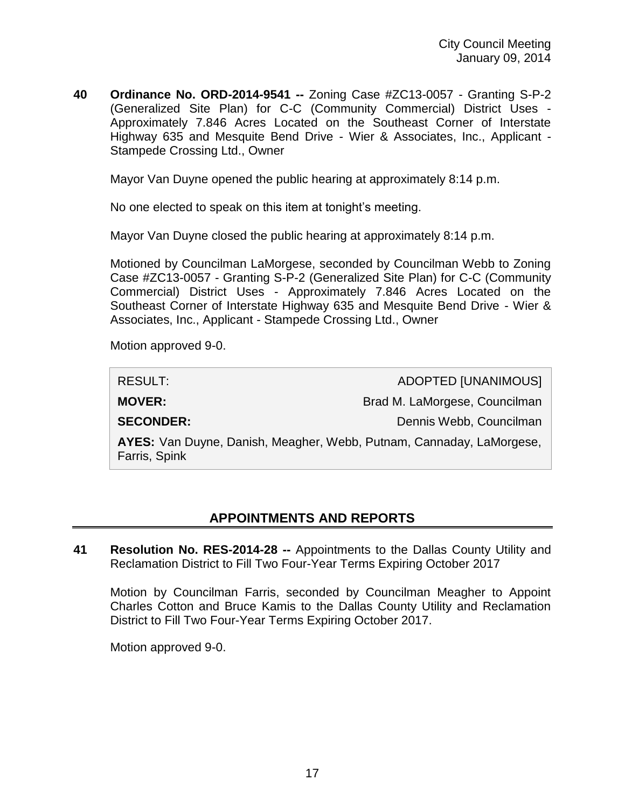**40 Ordinance No. ORD-2014-9541 --** Zoning Case #ZC13-0057 - Granting S-P-2 (Generalized Site Plan) for C-C (Community Commercial) District Uses - Approximately 7.846 Acres Located on the Southeast Corner of Interstate Highway 635 and Mesquite Bend Drive - Wier & Associates, Inc., Applicant - Stampede Crossing Ltd., Owner

Mayor Van Duyne opened the public hearing at approximately 8:14 p.m.

No one elected to speak on this item at tonight's meeting.

Mayor Van Duyne closed the public hearing at approximately 8:14 p.m.

Motioned by Councilman LaMorgese, seconded by Councilman Webb to Zoning Case #ZC13-0057 - Granting S-P-2 (Generalized Site Plan) for C-C (Community Commercial) District Uses - Approximately 7.846 Acres Located on the Southeast Corner of Interstate Highway 635 and Mesquite Bend Drive - Wier & Associates, Inc., Applicant - Stampede Crossing Ltd., Owner

Motion approved 9-0.

| <b>RESULT:</b>                                                                        | <b>ADOPTED [UNANIMOUS]</b>    |
|---------------------------------------------------------------------------------------|-------------------------------|
| <b>MOVER:</b>                                                                         | Brad M. LaMorgese, Councilman |
| <b>SECONDER:</b>                                                                      | Dennis Webb, Councilman       |
| AYES: Van Duyne, Danish, Meagher, Webb, Putnam, Cannaday, LaMorgese,<br>Farris, Spink |                               |

## **APPOINTMENTS AND REPORTS**

**41 Resolution No. RES-2014-28 --** Appointments to the Dallas County Utility and Reclamation District to Fill Two Four-Year Terms Expiring October 2017

Motion by Councilman Farris, seconded by Councilman Meagher to Appoint Charles Cotton and Bruce Kamis to the Dallas County Utility and Reclamation District to Fill Two Four-Year Terms Expiring October 2017.

Motion approved 9-0.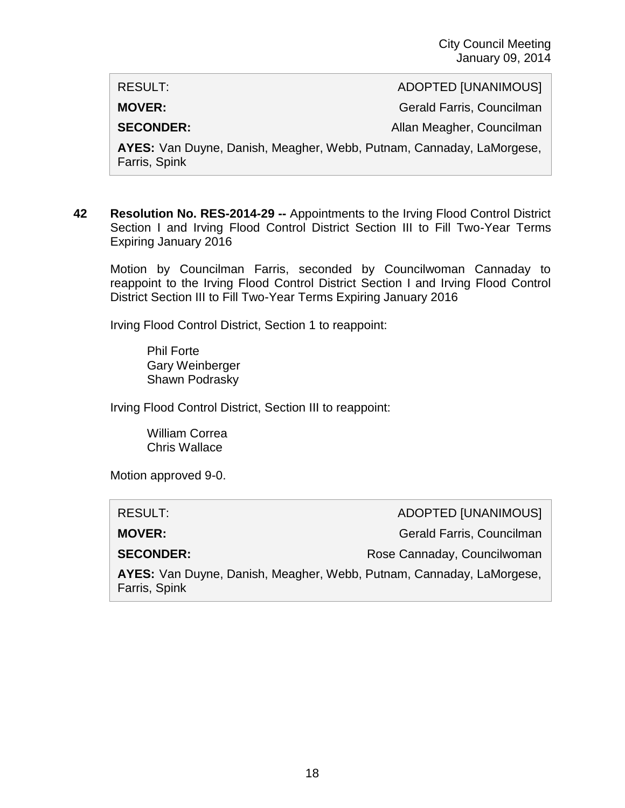RESULT: ADOPTED [UNANIMOUS]

**MOVER:** Gerald Farris, Councilman

**SECONDER:** Allan Meagher, Councilman

**AYES:** Van Duyne, Danish, Meagher, Webb, Putnam, Cannaday, LaMorgese, Farris, Spink

**42 Resolution No. RES-2014-29 --** Appointments to the Irving Flood Control District Section I and Irving Flood Control District Section III to Fill Two-Year Terms Expiring January 2016

Motion by Councilman Farris, seconded by Councilwoman Cannaday to reappoint to the Irving Flood Control District Section I and Irving Flood Control District Section III to Fill Two-Year Terms Expiring January 2016

Irving Flood Control District, Section 1 to reappoint:

Phil Forte Gary Weinberger Shawn Podrasky

Irving Flood Control District, Section III to reappoint:

William Correa Chris Wallace

Motion approved 9-0.

| RESULT:                                                                               | ADOPTED [UNANIMOUS]         |
|---------------------------------------------------------------------------------------|-----------------------------|
| <b>MOVER:</b>                                                                         | Gerald Farris, Councilman   |
| <b>SECONDER:</b>                                                                      | Rose Cannaday, Councilwoman |
| AYES: Van Duyne, Danish, Meagher, Webb, Putnam, Cannaday, LaMorgese,<br>Farris, Spink |                             |